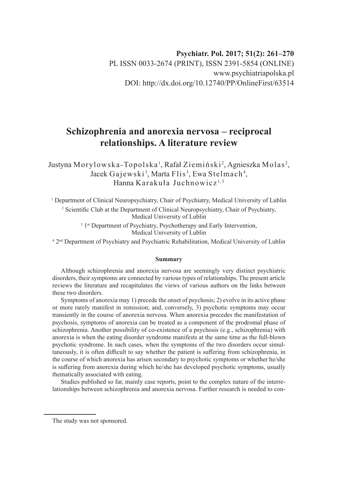## **Psychiatr. Pol. 2017; 51(2): 261–270** PL ISSN 0033-2674 (PRINT), ISSN 2391-5854 (ONLINE) www.psychiatriapolska.pl DOI: http://dx.doi.org/10.12740/PP/OnlineFirst/63514

# **Schizophrenia and anorexia nervosa – reciprocal relationships. A literature review**

Justyna Morylowska-Topolska <sup>1</sup>, Rafał Ziemiński <sup>2</sup>, Agnieszka Molas <sup>2</sup>, Jacek Gajewski<sup>3</sup>, Marta Flis<sup>3</sup>, Ewa Stelmach<sup>4</sup>, Hanna Karakuła Juchnowicz<sup>1,3</sup>

1 Department of Clinical Neuropsychiatry, Chair of Psychiatry, Medical University of Lublin <sup>2</sup> Scientific Club at the Department of Clinical Neuropsychiatry, Chair of Psychiatry, Medical University of Lublin

> <sup>3</sup> 1<sup>st</sup> Department of Psychiatry, Psychotherapy and Early Intervention, Medical University of Lublin

4 2nd Department of Psychiatry and Psychiatric Rehabilitation, Medical University of Lublin

#### **Summary**

Although schizophrenia and anorexia nervosa are seemingly very distinct psychiatric disorders, their symptoms are connected by various types of relationships. The present article reviews the literature and recapitulates the views of various authors on the links between these two disorders.

Symptoms of anorexia may 1) precede the onset of psychosis; 2) evolve in its active phase or more rarely manifest in remission; and, conversely, 3) psychotic symptoms may occur transiently in the course of anorexia nervosa. When anorexia precedes the manifestation of psychosis, symptoms of anorexia can be treated as a component of the prodromal phase of schizophrenia. Another possibility of co-existence of a psychosis (e.g., schizophrenia) with anorexia is when the eating disorder syndrome manifests at the same time as the full-blown psychotic syndrome. In such cases, when the symptoms of the two disorders occur simultaneously, it is often difficult to say whether the patient is suffering from schizophrenia, in the course of which anorexia has arisen secondary to psychotic symptoms or whether he/she is suffering from anorexia during which he/she has developed psychotic symptoms, usually thematically associated with eating.

Studies published so far, mainly case reports, point to the complex nature of the interrelationships between schizophrenia and anorexia nervosa. Further research is needed to con-

The study was not sponsored.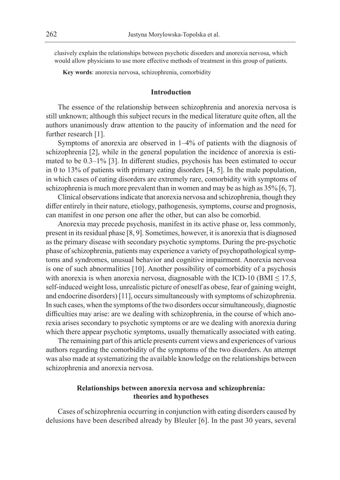clusively explain the relationships between psychotic disorders and anorexia nervosa, which would allow physicians to use more effective methods of treatment in this group of patients.

**Key words**: anorexia nervosa, schizophrenia, comorbidity

## **Introduction**

The essence of the relationship between schizophrenia and anorexia nervosa is still unknown; although this subject recurs in the medical literature quite often, all the authors unanimously draw attention to the paucity of information and the need for further research [1].

Symptoms of anorexia are observed in 1–4% of patients with the diagnosis of schizophrenia [2], while in the general population the incidence of anorexia is estimated to be 0.3–1% [3]. In different studies, psychosis has been estimated to occur in 0 to 13% of patients with primary eating disorders [4, 5]. In the male population, in which cases of eating disorders are extremely rare, comorbidity with symptoms of schizophrenia is much more prevalent than in women and may be as high as 35% [6, 7].

Clinical observations indicate that anorexia nervosa and schizophrenia, though they differ entirely in their nature, etiology, pathogenesis, symptoms, course and prognosis, can manifest in one person one after the other, but can also be comorbid.

Anorexia may precede psychosis, manifest in its active phase or, less commonly, present in its residual phase [8, 9]. Sometimes, however, it is anorexia that is diagnosed as the primary disease with secondary psychotic symptoms. During the pre-psychotic phase of schizophrenia, patients may experience a variety of psychopathological symptoms and syndromes, unusual behavior and cognitive impairment. Anorexia nervosa is one of such abnormalities [10]. Another possibility of comorbidity of a psychosis with anorexia is when anorexia nervosa, diagnosable with the ICD-10 (BMI  $\leq$  17.5, self-induced weight loss, unrealistic picture of oneself as obese, fear of gaining weight, and endocrine disorders) [11], occurs simultaneously with symptoms of schizophrenia. In such cases, when the symptoms of the two disorders occur simultaneously, diagnostic difficulties may arise: are we dealing with schizophrenia, in the course of which anorexia arises secondary to psychotic symptoms or are we dealing with anorexia during which there appear psychotic symptoms, usually thematically associated with eating.

The remaining part of this article presents current views and experiences of various authors regarding the comorbidity of the symptoms of the two disorders. An attempt was also made at systematizing the available knowledge on the relationships between schizophrenia and anorexia nervosa.

## **Relationships between anorexia nervosa and schizophrenia: theories and hypotheses**

Cases of schizophrenia occurring in conjunction with eating disorders caused by delusions have been described already by Bleuler [6]. In the past 30 years, several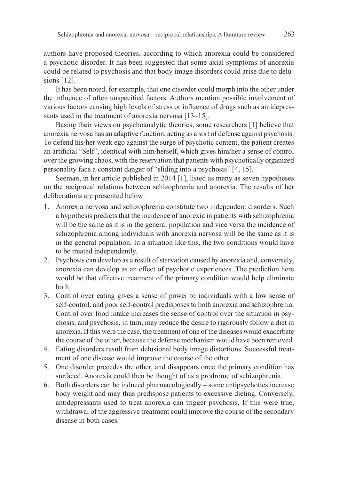authors have proposed theories, according to which anorexia could be considered a psychotic disorder. It has been suggested that some axial symptoms of anorexia could be related to psychosis and that body image disorders could arise due to delusions [12].

It has been noted, for example, that one disorder could morph into the other under the influence of often unspecified factors. Authors mention possible involvement of various factors causing high levels of stress or influence of drugs such as antidepressants used in the treatment of anorexia nervosa [13–15].

Basing their views on psychoanalytic theories, some researchers [1] believe that anorexia nervosa has an adaptive function, acting as a sort of defense against psychosis. To defend his/her weak ego against the surge of psychotic content, the patient creates an artificial "Self", identical with him/herself, which gives him/her a sense of control over the growing chaos, with the reservation that patients with psychotically organized personality face a constant danger of "sliding into a psychosis" [4, 15].

Seeman, in her article published in 2014 [1], listed as many as seven hypotheses on the reciprocal relations between schizophrenia and anorexia. The results of her deliberations are presented below:

- 1. Anorexia nervosa and schizophrenia constitute two independent disorders. Such a hypothesis predicts that the incidence of anorexia in patients with schizophrenia will be the same as it is in the general population and vice versa the incidence of schizophrenia among individuals with anorexia nervosa will be the same as it is in the general population. In a situation like this, the two conditions would have to be treated independently.
- 2. Psychosis can develop as a result of starvation caused by anorexia and, conversely, anorexia can develop as an effect of psychotic experiences. The prediction here would be that effective treatment of the primary condition would help eliminate both.
- 3. Control over eating gives a sense of power to individuals with a low sense of self-control, and poor self-control predisposes to both anorexia and schizophrenia. Control over food intake increases the sense of control over the situation in psychosis, and psychosis, in turn, may reduce the desire to rigorously follow a diet in anorexia. If this were the case, the treatment of one of the diseases would exacerbate the course of the other, because the defense mechanism would have been removed.
- 4. Eating disorders result from delusional body image distortions. Successful treatment of one disease would improve the course of the other.
- 5. One disorder precedes the other, and disappears once the primary condition has surfaced. Anorexia could then be thought of as a prodrome of schizophrenia.
- 6. Both disorders can be induced pharmacologically some antipsychotics increase body weight and may thus predispose patients to excessive dieting. Conversely, antidepressants used to treat anorexia can trigger psychosis. If this were true, withdrawal of the aggressive treatment could improve the course of the secondary disease in both cases.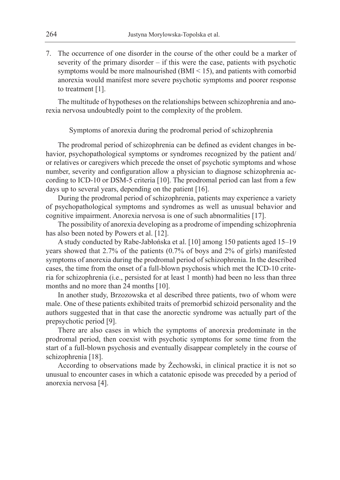7. The occurrence of one disorder in the course of the other could be a marker of severity of the primary disorder – if this were the case, patients with psychotic symptoms would be more malnourished  $(BMI < 15)$ , and patients with comorbid anorexia would manifest more severe psychotic symptoms and poorer response to treatment [1].

The multitude of hypotheses on the relationships between schizophrenia and anorexia nervosa undoubtedly point to the complexity of the problem.

Symptoms of anorexia during the prodromal period of schizophrenia

The prodromal period of schizophrenia can be defined as evident changes in behavior, psychopathological symptoms or syndromes recognized by the patient and/ or relatives or caregivers which precede the onset of psychotic symptoms and whose number, severity and configuration allow a physician to diagnose schizophrenia according to ICD-10 or DSM-5 criteria [10]. The prodromal period can last from a few days up to several years, depending on the patient [16].

During the prodromal period of schizophrenia, patients may experience a variety of psychopathological symptoms and syndromes as well as unusual behavior and cognitive impairment. Anorexia nervosa is one of such abnormalities [17].

The possibility of anorexia developing as a prodrome of impending schizophrenia has also been noted by Powers et al. [12].

A study conducted by Rabe-Jabłońska et al. [10] among 150 patients aged 15–19 years showed that 2.7% of the patients (0.7% of boys and 2% of girls) manifested symptoms of anorexia during the prodromal period of schizophrenia. In the described cases, the time from the onset of a full-blown psychosis which met the ICD-10 criteria for schizophrenia (i.e., persisted for at least 1 month) had been no less than three months and no more than 24 months [10].

In another study, Brzozowska et al described three patients, two of whom were male. One of these patients exhibited traits of premorbid schizoid personality and the authors suggested that in that case the anorectic syndrome was actually part of the prepsychotic period [9].

There are also cases in which the symptoms of anorexia predominate in the prodromal period, then coexist with psychotic symptoms for some time from the start of a full-blown psychosis and eventually disappear completely in the course of schizophrenia [18].

According to observations made by Żechowski, in clinical practice it is not so unusual to encounter cases in which a catatonic episode was preceded by a period of anorexia nervosa [4].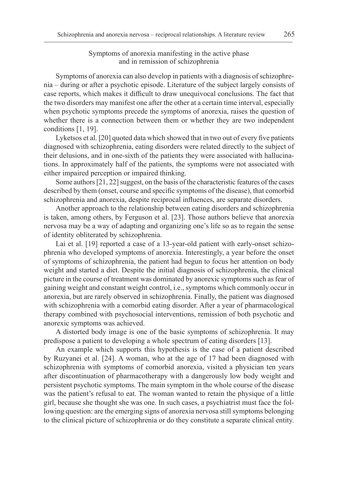## Symptoms of anorexia manifesting in the active phase and in remission of schizophrenia

Symptoms of anorexia can also develop in patients with a diagnosis of schizophrenia – during or after a psychotic episode. Literature of the subject largely consists of case reports, which makes it difficult to draw unequivocal conclusions. The fact that the two disorders may manifest one after the other at a certain time interval, especially when psychotic symptoms precede the symptoms of anorexia, raises the question of whether there is a connection between them or whether they are two independent conditions [1, 19].

Lyketsos et al. [20] quoted data which showed that in two out of every five patients diagnosed with schizophrenia, eating disorders were related directly to the subject of their delusions, and in one-sixth of the patients they were associated with hallucinations. In approximately half of the patients, the symptoms were not associated with either impaired perception or impaired thinking.

Some authors [21, 22] suggest, on the basis of the characteristic features of the cases described by them (onset, course and specific symptoms of the disease), that comorbid schizophrenia and anorexia, despite reciprocal influences, are separate disorders.

Another approach to the relationship between eating disorders and schizophrenia is taken, among others, by Ferguson et al. [23]. Those authors believe that anorexia nervosa may be a way of adapting and organizing one's life so as to regain the sense of identity obliterated by schizophrenia.

Lai et al. [19] reported a case of a 13-year-old patient with early-onset schizophrenia who developed symptoms of anorexia. Interestingly, a year before the onset of symptoms of schizophrenia, the patient had begun to focus her attention on body weight and started a diet. Despite the initial diagnosis of schizophrenia, the clinical picture in the course of treatment was dominated by anorexic symptoms such as fear of gaining weight and constant weight control, i.e., symptoms which commonly occur in anorexia, but are rarely observed in schizophrenia. Finally, the patient was diagnosed with schizophrenia with a comorbid eating disorder. After a year of pharmacological therapy combined with psychosocial interventions, remission of both psychotic and anorexic symptoms was achieved.

A distorted body image is one of the basic symptoms of schizophrenia. It may predispose a patient to developing a whole spectrum of eating disorders [13].

An example which supports this hypothesis is the case of a patient described by Ruzyanei et al. [24]. A woman, who at the age of 17 had been diagnosed with schizophrenia with symptoms of comorbid anorexia, visited a physician ten years after discontinuation of pharmacotherapy with a dangerously low body weight and persistent psychotic symptoms. The main symptom in the whole course of the disease was the patient's refusal to eat. The woman wanted to retain the physique of a little girl, because she thought she was one. In such cases, a psychiatrist must face the following question: are the emerging signs of anorexia nervosa still symptoms belonging to the clinical picture of schizophrenia or do they constitute a separate clinical entity.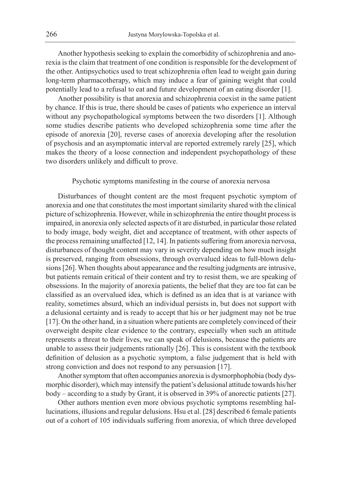Another hypothesis seeking to explain the comorbidity of schizophrenia and anorexia is the claim that treatment of one condition is responsible for the development of the other. Antipsychotics used to treat schizophrenia often lead to weight gain during long-term pharmacotherapy, which may induce a fear of gaining weight that could potentially lead to a refusal to eat and future development of an eating disorder [1].

Another possibility is that anorexia and schizophrenia coexist in the same patient by chance. If this is true, there should be cases of patients who experience an interval without any psychopathological symptoms between the two disorders [1]. Although some studies describe patients who developed schizophrenia some time after the episode of anorexia [20], reverse cases of anorexia developing after the resolution of psychosis and an asymptomatic interval are reported extremely rarely [25], which makes the theory of a loose connection and independent psychopathology of these two disorders unlikely and difficult to prove.

## Psychotic symptoms manifesting in the course of anorexia nervosa

Disturbances of thought content are the most frequent psychotic symptom of anorexia and one that constitutes the most important similarity shared with the clinical picture of schizophrenia. However, while in schizophrenia the entire thought process is impaired, in anorexia only selected aspects of it are disturbed, in particular those related to body image, body weight, diet and acceptance of treatment, with other aspects of the process remaining unaffected [12, 14]. In patients suffering from anorexia nervosa, disturbances of thought content may vary in severity depending on how much insight is preserved, ranging from obsessions, through overvalued ideas to full-blown delusions [26]. When thoughts about appearance and the resulting judgments are intrusive, but patients remain critical of their content and try to resist them, we are speaking of obsessions. In the majority of anorexia patients, the belief that they are too fat can be classified as an overvalued idea, which is defined as an idea that is at variance with reality, sometimes absurd, which an individual persists in, but does not support with a delusional certainty and is ready to accept that his or her judgment may not be true [17]. On the other hand, in a situation where patients are completely convinced of their overweight despite clear evidence to the contrary, especially when such an attitude represents a threat to their lives, we can speak of delusions, because the patients are unable to assess their judgements rationally [26]. This is consistent with the textbook definition of delusion as a psychotic symptom, a false judgement that is held with strong conviction and does not respond to any persuasion [17].

Another symptom that often accompanies anorexia is dysmorphophobia (body dysmorphic disorder), which may intensify the patient's delusional attitude towards his/her body – according to a study by Grant, it is observed in 39% of anorectic patients [27].

Other authors mention even more obvious psychotic symptoms resembling hallucinations, illusions and regular delusions. Hsu et al. [28] described 6 female patients out of a cohort of 105 individuals suffering from anorexia, of which three developed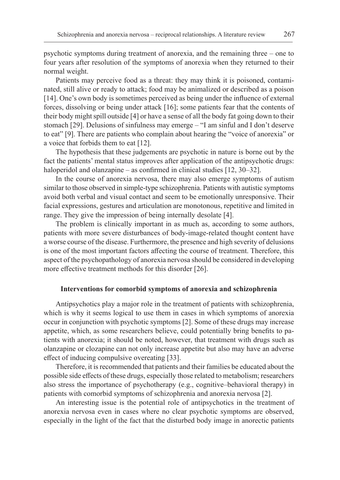psychotic symptoms during treatment of anorexia, and the remaining three – one to four years after resolution of the symptoms of anorexia when they returned to their normal weight.

Patients may perceive food as a threat: they may think it is poisoned, contaminated, still alive or ready to attack; food may be animalized or described as a poison [14]. One's own body is sometimes perceived as being under the influence of external forces, dissolving or being under attack [16]; some patients fear that the contents of their body might spill outside [4] or have a sense of all the body fat going down to their stomach [29]. Delusions of sinfulness may emerge – "I am sinful and I don't deserve to eat" [9]. There are patients who complain about hearing the "voice of anorexia" or a voice that forbids them to eat [12].

The hypothesis that these judgements are psychotic in nature is borne out by the fact the patients' mental status improves after application of the antipsychotic drugs: haloperidol and olanzapine – as confirmed in clinical studies [12, 30–32].

In the course of anorexia nervosa, there may also emerge symptoms of autism similar to those observed in simple-type schizophrenia. Patients with autistic symptoms avoid both verbal and visual contact and seem to be emotionally unresponsive. Their facial expressions, gestures and articulation are monotonous, repetitive and limited in range. They give the impression of being internally desolate [4].

The problem is clinically important in as much as, according to some authors, patients with more severe disturbances of body-image-related thought content have a worse course of the disease. Furthermore, the presence and high severity of delusions is one of the most important factors affecting the course of treatment. Therefore, this aspect of the psychopathology of anorexia nervosa should be considered in developing more effective treatment methods for this disorder [26].

## **Interventions for comorbid symptoms of anorexia and schizophrenia**

Antipsychotics play a major role in the treatment of patients with schizophrenia, which is why it seems logical to use them in cases in which symptoms of anorexia occur in conjunction with psychotic symptoms [2]. Some of these drugs may increase appetite, which, as some researchers believe, could potentially bring benefits to patients with anorexia; it should be noted, however, that treatment with drugs such as olanzapine or clozapine can not only increase appetite but also may have an adverse effect of inducing compulsive overeating [33].

Therefore, it is recommended that patients and their families be educated about the possible side effects of these drugs, especially those related to metabolism; researchers also stress the importance of psychotherapy (e.g., cognitive–behavioral therapy) in patients with comorbid symptoms of schizophrenia and anorexia nervosa [2].

An interesting issue is the potential role of antipsychotics in the treatment of anorexia nervosa even in cases where no clear psychotic symptoms are observed, especially in the light of the fact that the disturbed body image in anorectic patients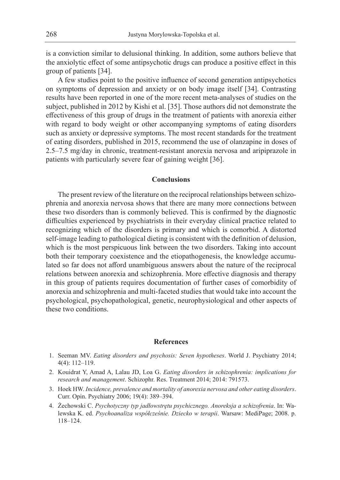is a conviction similar to delusional thinking. In addition, some authors believe that the anxiolytic effect of some antipsychotic drugs can produce a positive effect in this group of patients [34].

A few studies point to the positive influence of second generation antipsychotics on symptoms of depression and anxiety or on body image itself [34]. Contrasting results have been reported in one of the more recent meta-analyses of studies on the subject, published in 2012 by Kishi et al. [35]. Those authors did not demonstrate the effectiveness of this group of drugs in the treatment of patients with anorexia either with regard to body weight or other accompanying symptoms of eating disorders such as anxiety or depressive symptoms. The most recent standards for the treatment of eating disorders, published in 2015, recommend the use of olanzapine in doses of 2.5–7.5 mg/day in chronic, treatment-resistant anorexia nervosa and aripiprazole in patients with particularly severe fear of gaining weight [36].

## **Conclusions**

The present review of the literature on the reciprocal relationships between schizophrenia and anorexia nervosa shows that there are many more connections between these two disorders than is commonly believed. This is confirmed by the diagnostic difficulties experienced by psychiatrists in their everyday clinical practice related to recognizing which of the disorders is primary and which is comorbid. A distorted self-image leading to pathological dieting is consistent with the definition of delusion, which is the most perspicuous link between the two disorders. Taking into account both their temporary coexistence and the etiopathogenesis, the knowledge accumulated so far does not afford unambiguous answers about the nature of the reciprocal relations between anorexia and schizophrenia. More effective diagnosis and therapy in this group of patients requires documentation of further cases of comorbidity of anorexia and schizophrenia and multi-faceted studies that would take into account the psychological, psychopathological, genetic, neurophysiological and other aspects of these two conditions.

## **References**

- 1. Seeman MV. *Eating disorders and psychosis: Seven hypotheses*. World J. Psychiatry 2014; 4(4): 112–119.
- 2. Kouidrat Y, Amad A, Lalau JD, Loa G. *Eating disorders in schizophrenia: implications for research and management*. Schizophr. Res. Treatment 2014; 2014: 791573.
- 3. Hoek HW. *Incidence, prevalence and mortality of anorexia nervosa and other eating disorders*. Curr. Opin. Psychiatry 2006; 19(4): 389–394.
- 4. Żechowski C. *Psychotyczny typ jadłowstrętu psychicznego. Anoreksja a schizofrenia*. In: Walewska K. ed. *Psychoanaliza współcześnie. Dziecko w terapii*. Warsaw: MediPage; 2008. p. 118–124.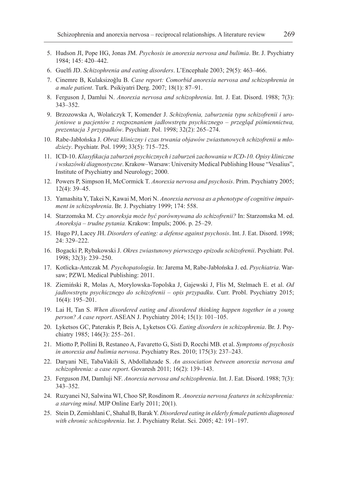- 5. Hudson JI, Pope HG, Jonas JM. *Psychosis in anorexia nervosa and bulimia*. Br. J. Psychiatry 1984; 145: 420–442.
- 6. Guelfi JD. *Schizophrenia and eating disorders*. L'Encephale 2003; 29(5): 463–466.
- 7. Cinemre B, Kulaksizoǧlu B. *Case report: Comorbid anorexia nervosa and schizophrenia in a male patient*. Turk. Psikiyatri Derg. 2007; 18(1): 87–91.
- 8. Ferguson J, Damlui N. *Anorexia nervosa and schizophrenia*. Int. J. Eat. Disord. 1988; 7(3): 343–352.
- 9. Brzozowska A, Wolańczyk T, Komender J. *Schizofrenia, zaburzenia typu schizofrenii i urojeniowe u pacjentów z rozpoznaniem jadłowstrętu psychicznego – przegląd piśmiennictwa, prezentacja 3 przypadków*. Psychiatr. Pol. 1998; 32(2): 265–274.
- 10. Rabe-Jabłońska J. *Obraz kliniczny i czas trwania objawów zwiastunowych schizofrenii u młodzieży*. Psychiatr. Pol. 1999; 33(5): 715–725.
- 11. ICD-10. *Klasyfikacja zaburzeń psychicznych i zaburzeń zachowania w ICD-10. Opisy kliniczne i wskazówki diagnostyczne*. Krakow–Warsaw: University Medical Publishing House "Vesalius", Institute of Psychiatry and Neurology; 2000.
- 12. Powers P, Simpson H, McCormick T. *Anorexia nervosa and psychosis*. Prim. Psychiatry 2005; 12(4): 39–45.
- 13. Yamashita Y, Takei N, Kawai M, Mori N. *Anorexia nervosa as a phenotype of cognitive impairment in schizophrenia*. Br. J. Psychiatry 1999; 174: 558.
- 14. Starzomska M. *Czy anoreksja może być porównywana do schizofrenii?* In: Starzomska M. ed. *Anoreksja – trudne pytania.* Krakow: Impuls; 2006. p. 25–29.
- 15. Hugo PJ, Lacey JH. *Disorders of eating: a defense against psychosis*. Int. J. Eat. Disord. 1998; 24: 329–222.
- 16. Bogacki P, Rybakowski J. *Okres zwiastunowy pierwszego epizodu schizofrenii*. Psychiatr. Pol. 1998; 32(3): 239–250.
- 17. Kotlicka-Antczak M. *Psychopatologia*. In: Jarema M, Rabe-Jabłońska J. ed. *Psychiatria*. Warsaw; PZWL Medical Publishing: 2011.
- 18. Ziemiński R, Molas A, Morylowska-Topolska J, Gajewski J, Flis M, Stelmach E. et al. *Od jadłowstrętu psychicznego do schizofrenii – opis przypadku*. Curr. Probl. Psychiatry 2015; 16(4): 195–201.
- 19. Lai H, Tan S. *When disordered eating and disordered thinking happen together in a young person? A case report*. ASEAN J. Psychiatry 2014; 15(1): 101–105.
- 20. Lyketsos GC, Paterakis P, Beis A, Lyketsos CG. *Eating disorders in schizophrenia*. Br. J. Psychiatry 1985; 146(3): 255–261.
- 21. Miotto P, Pollini B, Restaneo A, Favaretto G, Sisti D, Rocchi MB. et al. *Symptoms of psychosis in anorexia and bulimia nervosa*. Psychiatry Res. 2010; 175(3): 237–243.
- 22. Daryani NE, TabaVakili S, Abdollahzade S. *An association between anorexia nervosa and schizophrenia: a case report*. Govaresh 2011; 16(2): 139–143.
- 23. Ferguson JM, Damluji NF. *Anorexia nervosa and schizophrenia*. Int. J. Eat. Disord. 1988; 7(3): 343–352.
- 24. Ruzyanei NJ, Salwina WI, Choo SP, Rosdinom R. *Anorexia nervosa features in schizophrenia: a starving mind*. MJP Online Early 2011; 20(1).
- 25. Stein D, Zemishlani C, Shahal B, Barak Y. *Disordered eating in elderly female patients diagnosed with chronic schizophrenia*. Isr. J. Psychiatry Relat. Sci. 2005; 42: 191–197.